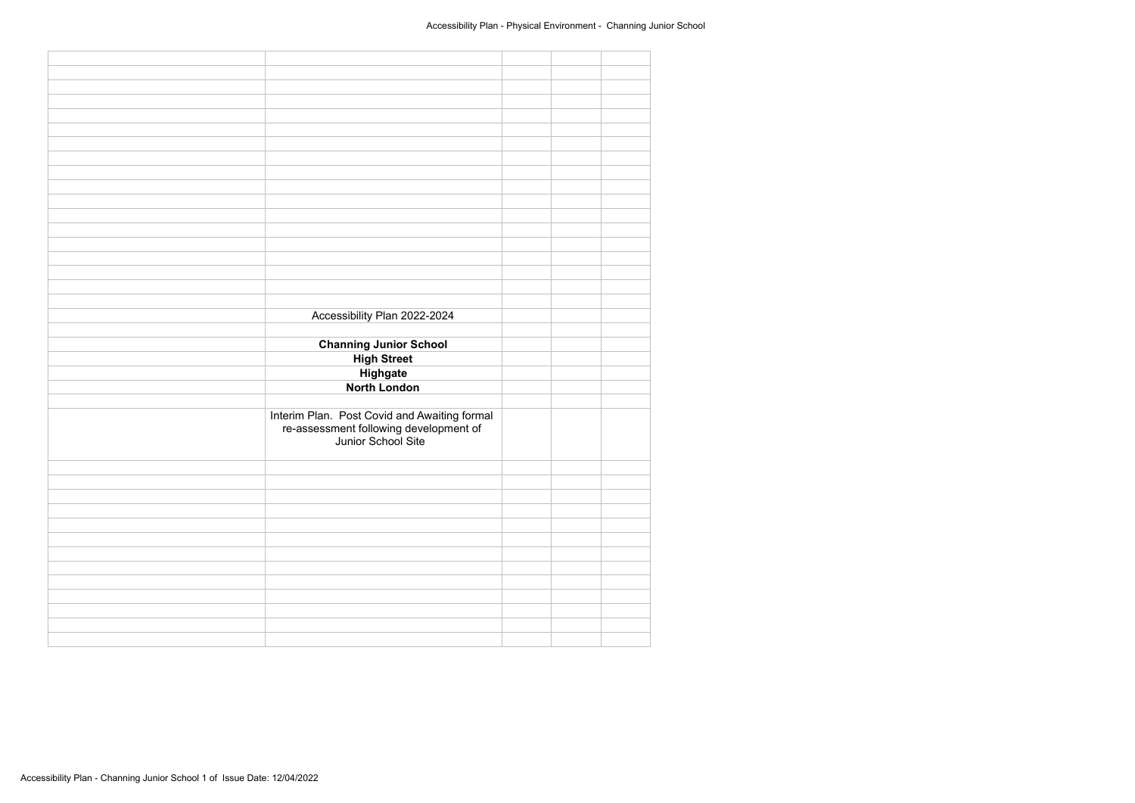| Accessibility Plan 2022-2024                                                                                 |  |  |
|--------------------------------------------------------------------------------------------------------------|--|--|
|                                                                                                              |  |  |
|                                                                                                              |  |  |
| <b>Channing Junior School</b>                                                                                |  |  |
| <b>High Street</b>                                                                                           |  |  |
|                                                                                                              |  |  |
|                                                                                                              |  |  |
|                                                                                                              |  |  |
| Highgate                                                                                                     |  |  |
| <b>North London</b>                                                                                          |  |  |
|                                                                                                              |  |  |
|                                                                                                              |  |  |
|                                                                                                              |  |  |
|                                                                                                              |  |  |
|                                                                                                              |  |  |
| Interim Plan. Post Covid and Awaiting formal<br>re-assessment following development of<br>Junior School Site |  |  |
|                                                                                                              |  |  |
|                                                                                                              |  |  |
|                                                                                                              |  |  |
|                                                                                                              |  |  |
|                                                                                                              |  |  |
|                                                                                                              |  |  |
|                                                                                                              |  |  |
|                                                                                                              |  |  |
|                                                                                                              |  |  |
|                                                                                                              |  |  |
|                                                                                                              |  |  |
|                                                                                                              |  |  |
|                                                                                                              |  |  |
|                                                                                                              |  |  |
|                                                                                                              |  |  |
|                                                                                                              |  |  |
|                                                                                                              |  |  |
|                                                                                                              |  |  |
|                                                                                                              |  |  |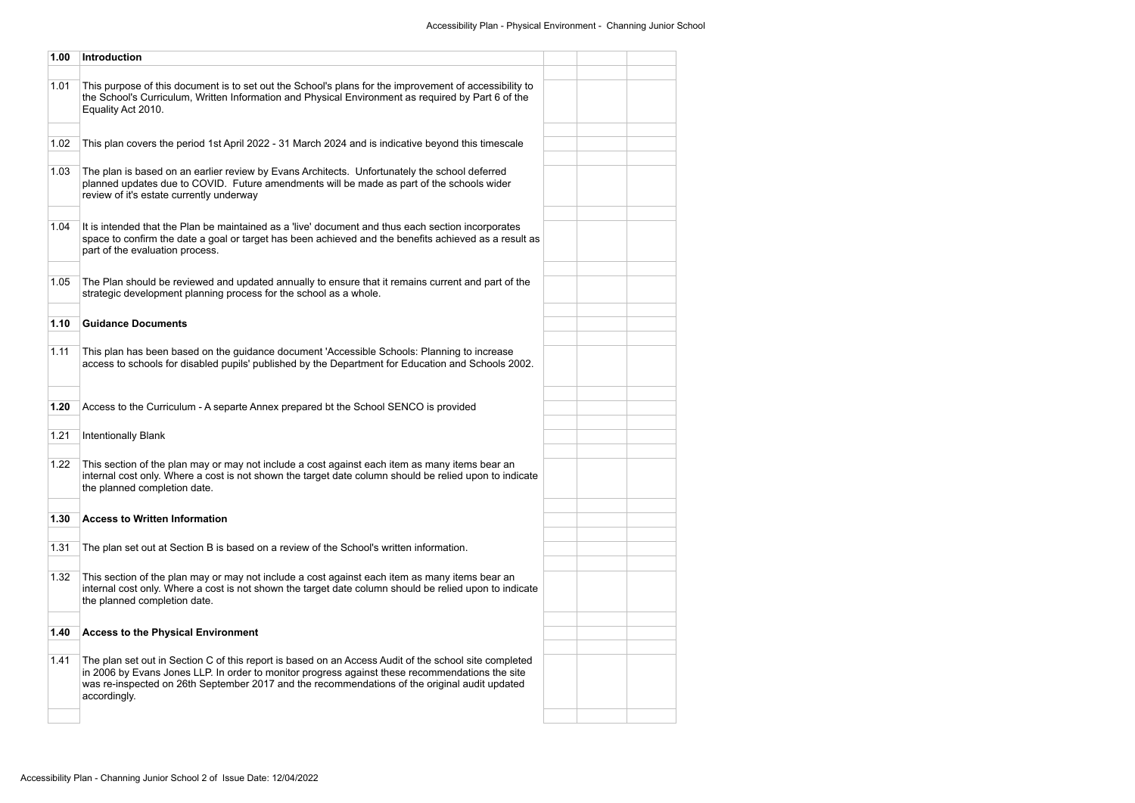| 1.00 | Introduction                                                                                                                                                                                                                                                                                                              |  |  |
|------|---------------------------------------------------------------------------------------------------------------------------------------------------------------------------------------------------------------------------------------------------------------------------------------------------------------------------|--|--|
| 1.01 | This purpose of this document is to set out the School's plans for the improvement of accessibility to<br>the School's Curriculum, Written Information and Physical Environment as required by Part 6 of the<br>Equality Act 2010.                                                                                        |  |  |
| 1.02 | This plan covers the period 1st April 2022 - 31 March 2024 and is indicative beyond this timescale                                                                                                                                                                                                                        |  |  |
| 1.03 | The plan is based on an earlier review by Evans Architects. Unfortunately the school deferred<br>planned updates due to COVID. Future amendments will be made as part of the schools wider<br>review of it's estate currently underway                                                                                    |  |  |
| 1.04 | It is intended that the Plan be maintained as a 'live' document and thus each section incorporates<br>space to confirm the date a goal or target has been achieved and the benefits achieved as a result as<br>part of the evaluation process.                                                                            |  |  |
| 1.05 | The Plan should be reviewed and updated annually to ensure that it remains current and part of the<br>strategic development planning process for the school as a whole.                                                                                                                                                   |  |  |
| 1.10 | <b>Guidance Documents</b>                                                                                                                                                                                                                                                                                                 |  |  |
| 1.11 | This plan has been based on the guidance document 'Accessible Schools: Planning to increase<br>access to schools for disabled pupils' published by the Department for Education and Schools 2002.                                                                                                                         |  |  |
| 1.20 | Access to the Curriculum - A separte Annex prepared bt the School SENCO is provided                                                                                                                                                                                                                                       |  |  |
| 1.21 | <b>Intentionally Blank</b>                                                                                                                                                                                                                                                                                                |  |  |
| 1.22 | This section of the plan may or may not include a cost against each item as many items bear an<br>internal cost only. Where a cost is not shown the target date column should be relied upon to indicate<br>the planned completion date.                                                                                  |  |  |
| 1.30 | <b>Access to Written Information</b>                                                                                                                                                                                                                                                                                      |  |  |
| 1.31 | The plan set out at Section B is based on a review of the School's written information.                                                                                                                                                                                                                                   |  |  |
| 1.32 | This section of the plan may or may not include a cost against each item as many items bear an<br>internal cost only. Where a cost is not shown the target date column should be relied upon to indicate<br>the planned completion date.                                                                                  |  |  |
| 1.40 | <b>Access to the Physical Environment</b>                                                                                                                                                                                                                                                                                 |  |  |
| 1.41 | The plan set out in Section C of this report is based on an Access Audit of the school site completed<br>in 2006 by Evans Jones LLP. In order to monitor progress against these recommendations the site<br>was re-inspected on 26th September 2017 and the recommendations of the original audit updated<br>accordingly. |  |  |
|      |                                                                                                                                                                                                                                                                                                                           |  |  |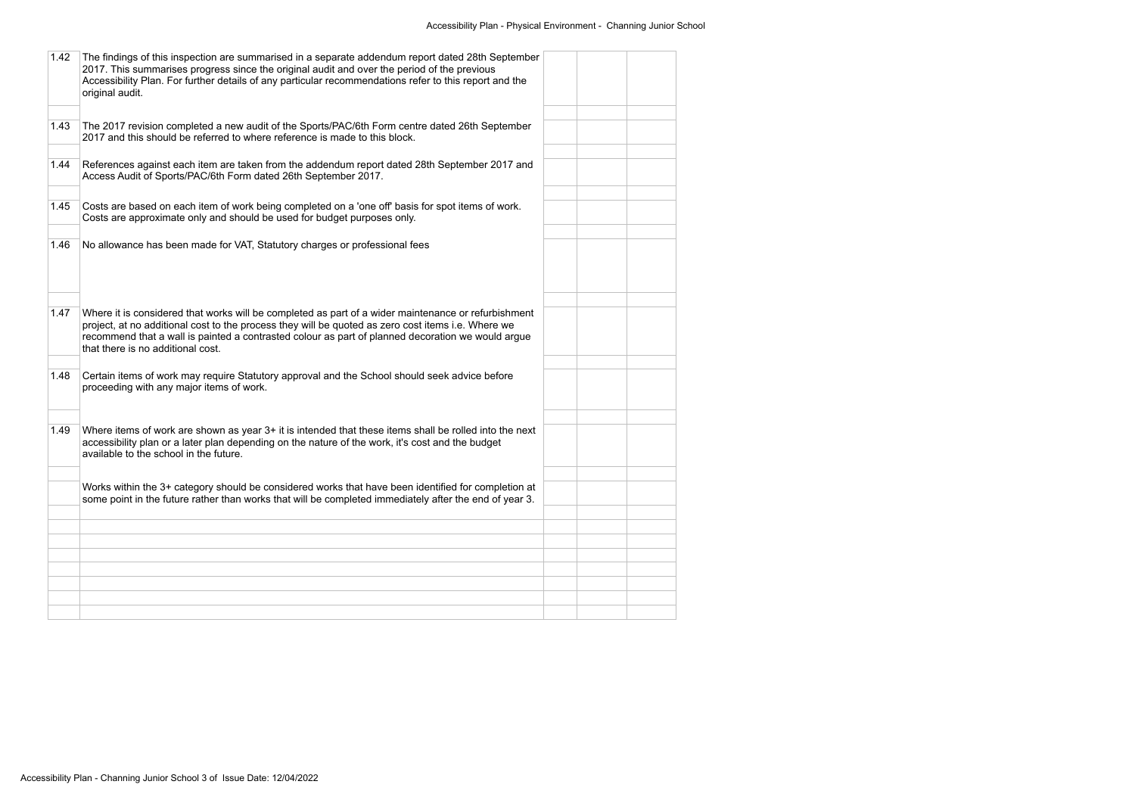| 1.42 | The findings of this inspection are summarised in a separate addendum report dated 28th September<br>2017. This summarises progress since the original audit and over the period of the previous<br>Accessibility Plan. For further details of any particular recommendations refer to this report and the<br>original audit.                       |  |  |
|------|-----------------------------------------------------------------------------------------------------------------------------------------------------------------------------------------------------------------------------------------------------------------------------------------------------------------------------------------------------|--|--|
| 1.43 | The 2017 revision completed a new audit of the Sports/PAC/6th Form centre dated 26th September<br>2017 and this should be referred to where reference is made to this block.                                                                                                                                                                        |  |  |
| 1.44 | References against each item are taken from the addendum report dated 28th September 2017 and<br>Access Audit of Sports/PAC/6th Form dated 26th September 2017.                                                                                                                                                                                     |  |  |
| 1.45 | Costs are based on each item of work being completed on a 'one off' basis for spot items of work.<br>Costs are approximate only and should be used for budget purposes only.                                                                                                                                                                        |  |  |
| 1.46 | No allowance has been made for VAT, Statutory charges or professional fees                                                                                                                                                                                                                                                                          |  |  |
| 1.47 | Where it is considered that works will be completed as part of a wider maintenance or refurbishment<br>project, at no additional cost to the process they will be quoted as zero cost items i.e. Where we<br>recommend that a wall is painted a contrasted colour as part of planned decoration we would argue<br>that there is no additional cost. |  |  |
| 1.48 | Certain items of work may require Statutory approval and the School should seek advice before<br>proceeding with any major items of work.                                                                                                                                                                                                           |  |  |
| 1.49 | Where items of work are shown as year 3+ it is intended that these items shall be rolled into the next<br>accessibility plan or a later plan depending on the nature of the work, it's cost and the budget<br>available to the school in the future.                                                                                                |  |  |
|      | Works within the 3+ category should be considered works that have been identified for completion at<br>some point in the future rather than works that will be completed immediately after the end of year 3.                                                                                                                                       |  |  |
|      |                                                                                                                                                                                                                                                                                                                                                     |  |  |
|      |                                                                                                                                                                                                                                                                                                                                                     |  |  |
|      |                                                                                                                                                                                                                                                                                                                                                     |  |  |
|      |                                                                                                                                                                                                                                                                                                                                                     |  |  |
|      |                                                                                                                                                                                                                                                                                                                                                     |  |  |
|      |                                                                                                                                                                                                                                                                                                                                                     |  |  |
|      |                                                                                                                                                                                                                                                                                                                                                     |  |  |
|      |                                                                                                                                                                                                                                                                                                                                                     |  |  |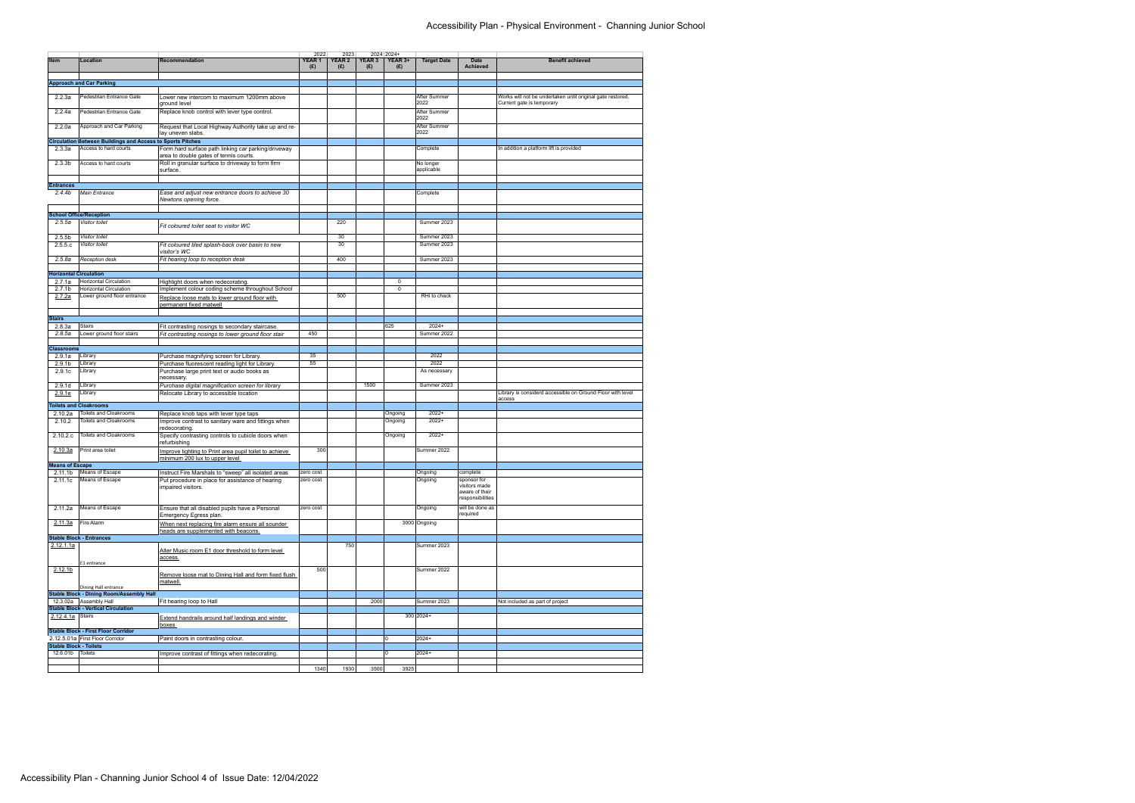|                               |                                                                   |                                                                                          | 2022                     | 2023                 |               | 2024 2024+     |                         |                                                                    |                                                                                         |
|-------------------------------|-------------------------------------------------------------------|------------------------------------------------------------------------------------------|--------------------------|----------------------|---------------|----------------|-------------------------|--------------------------------------------------------------------|-----------------------------------------------------------------------------------------|
| Item                          | Location                                                          | Recommendation                                                                           | YEAR <sub>1</sub><br>(E) | <b>YEAR 2</b><br>(E) | YEAR 3<br>(E) | YEAR 3+<br>(E) | <b>Target Date</b>      | Date<br><b>Achieved</b>                                            | <b>Benefit achieved</b>                                                                 |
|                               |                                                                   |                                                                                          |                          |                      |               |                |                         |                                                                    |                                                                                         |
|                               | <b>Approach and Car Parking</b>                                   |                                                                                          |                          |                      |               |                |                         |                                                                    |                                                                                         |
|                               |                                                                   |                                                                                          |                          |                      |               |                |                         |                                                                    |                                                                                         |
| 2.2.3a                        | Pedestrian Entrance Gate                                          | Lower new intercom to maximum 1200mm above<br>ground level                               |                          |                      |               |                | After Summer<br>2022    |                                                                    | Works will not be undertaken until original gate restored.<br>Current gate is temporary |
| 2.2.4a                        | Pedestrian Entrance Gate                                          | Replace knob control with lever type control.                                            |                          |                      |               |                | After Summer<br>2022    |                                                                    |                                                                                         |
| 2.2.0a                        | Approach and Car Parking                                          | Request that Local Highway Authority take up and re-<br>lay uneven slabs.                |                          |                      |               |                | After Summer<br>2022    |                                                                    |                                                                                         |
|                               | <b>Circulation Between Buildings and Access to Sports Pitches</b> |                                                                                          |                          |                      |               |                |                         |                                                                    |                                                                                         |
| 2.3.3a                        | Access to hard courts                                             | Form hard surface path linking car parking/driveway                                      |                          |                      |               |                | Complete                |                                                                    | In addition a platform lift is provided                                                 |
|                               |                                                                   | area to double gates of tennis courts.                                                   |                          |                      |               |                |                         |                                                                    |                                                                                         |
| 2.3.3 <sub>b</sub>            | Access to hard courts                                             | Roll in granular surface to driveway to form firm<br>surface.                            |                          |                      |               |                | No longer<br>applicable |                                                                    |                                                                                         |
|                               |                                                                   |                                                                                          |                          |                      |               |                |                         |                                                                    |                                                                                         |
| <b>Entrances</b>              |                                                                   |                                                                                          |                          |                      |               |                |                         |                                                                    |                                                                                         |
| 2.4.4 <sub>b</sub>            | <b>Main Entrance</b>                                              | Ease and adjust new entrance doors to achieve 30<br>Newtons opening force.               |                          |                      |               |                | Complete                |                                                                    |                                                                                         |
|                               |                                                                   |                                                                                          |                          |                      |               |                |                         |                                                                    |                                                                                         |
|                               | <b>School Office/Reception</b>                                    |                                                                                          |                          | 220                  |               |                |                         |                                                                    |                                                                                         |
| 2.5.5a                        | Visitor toilet                                                    | Fit coloured toilet seat to visitor WC                                                   |                          |                      |               |                | Summer 2023             |                                                                    |                                                                                         |
| 2.5.5 <sub>b</sub>            | Visitor toilet                                                    |                                                                                          |                          | 30                   |               |                | Summer 2023             |                                                                    |                                                                                         |
| 2.5.5.c                       | Visitor toilet                                                    | Fit coloured tiled splash-back over basin to new<br>visitor's WC                         |                          | 30                   |               |                | Summer 2023             |                                                                    |                                                                                         |
| 2.5.8a                        | Reception desk                                                    | Fit hearing loop to reception desk                                                       |                          | 400                  |               |                | Summer 2023             |                                                                    |                                                                                         |
|                               |                                                                   |                                                                                          |                          |                      |               |                |                         |                                                                    |                                                                                         |
| <b>Horizontal Circulation</b> |                                                                   |                                                                                          |                          |                      |               |                |                         |                                                                    |                                                                                         |
| 2.7.1a                        | <b>Horizontal Circulation</b>                                     | Highlight doors when redecorating.                                                       |                          |                      |               | 0              |                         |                                                                    |                                                                                         |
| 2.7.1 <sub>b</sub><br>2.7.2a  | <b>Horizontal Circulation</b><br>Lower ground floor entrance      | Implement colour coding scheme throughout School                                         |                          | 500                  |               | $\mathsf 0$    | RHi to check            |                                                                    |                                                                                         |
|                               |                                                                   | Replace loose mats to lower ground floor with<br>permanent fixed matwell                 |                          |                      |               |                |                         |                                                                    |                                                                                         |
| <b>Stairs</b>                 |                                                                   |                                                                                          |                          |                      |               |                |                         |                                                                    |                                                                                         |
| 2.8.3a                        | <b>Stairs</b>                                                     | Fit contrasting nosings to secondary staircase.                                          |                          |                      |               | 625            | $2024+$                 |                                                                    |                                                                                         |
| 2.8.5a                        | Lower ground floor stairs                                         | Fit contrasting nosings to lower ground floor stair                                      | 450                      |                      |               |                | Summer 2022             |                                                                    |                                                                                         |
|                               |                                                                   |                                                                                          |                          |                      |               |                |                         |                                                                    |                                                                                         |
| <b>Classrooms</b>             |                                                                   |                                                                                          |                          |                      |               |                |                         |                                                                    |                                                                                         |
| 2.9.1a                        | Library                                                           | Purchase magnifying screen for Library.                                                  | 35                       |                      |               |                | 2022                    |                                                                    |                                                                                         |
| 2.9.1 <sub>b</sub>            | Library                                                           | Purchase fluorescent reading light for Library.                                          | 55                       |                      |               |                | 2022                    |                                                                    |                                                                                         |
| 2.9.1c                        | Library                                                           | Purchase large print text or audio books as<br>necessary.                                |                          |                      |               |                | As necessary            |                                                                    |                                                                                         |
| 2.9.1 <sub>d</sub>            | Library                                                           | Purchase digital magnification screen for library                                        |                          |                      | 1500          |                | Summer 2023             |                                                                    |                                                                                         |
| 2.9.1e                        | Library                                                           | Relocate Library to accessible location                                                  |                          |                      |               |                |                         |                                                                    | Library is considerd accessible on Ground Floor with level                              |
|                               | <b>Toilets and Cloakrooms</b>                                     |                                                                                          |                          |                      |               |                |                         |                                                                    | access                                                                                  |
| 2.10.2a                       | Toilets and Cloakrooms                                            | Replace knob taps with lever type taps                                                   |                          |                      |               | Ongoing        | $2022+$                 |                                                                    |                                                                                         |
| 2.10.2                        | Toilets and Cloakrooms                                            | Improve contrast to sanitary ware and fittings when                                      |                          |                      |               | Ongoing        | $2022+$                 |                                                                    |                                                                                         |
|                               |                                                                   | redecorating.                                                                            |                          |                      |               |                |                         |                                                                    |                                                                                         |
| 2.10.2.c                      | Toilets and Cloakrooms                                            | Specify contrasting controls to cubicle doors when<br>refurbishing                       |                          |                      |               | Ongoing        | $2022+$                 |                                                                    |                                                                                         |
| 2.10.3a                       | Print area toilet                                                 | Improve lighting to Print area pupil toilet to achieve<br>minimum 200 lux to upper level | 300                      |                      |               |                | Summer 2022             |                                                                    |                                                                                         |
| <b>Means of Escape</b>        |                                                                   |                                                                                          |                          |                      |               |                |                         |                                                                    |                                                                                         |
|                               | 2.11.1b Means of Escape                                           | Instruct Fire Marshals to "sweep" all isolated areas                                     | zero cost                |                      |               |                | Ongoing                 | complete                                                           |                                                                                         |
| 2.11.1c                       | Means of Escape                                                   | Put procedure in place for assistance of hearing<br>impaired visitors.                   | zero cost                |                      |               |                | Ongoing                 | sponsor for<br>visitors made<br>aware of their<br>responsibilities |                                                                                         |
| 2.11.2a                       | Means of Escape                                                   | Ensure that all disabled pupils have a Personal<br>Emergency Egress plan.                | zero cost                |                      |               |                | Ongoing                 | will be done as<br>required                                        |                                                                                         |
| 2.11.3a                       | Fire Alarm                                                        | When next replacing fire alarm ensure all sounder                                        |                          |                      |               |                | 3000 Ongoing            |                                                                    |                                                                                         |
|                               | <b>Stable Block - Entrances</b>                                   | heads are supplemented with beacons.                                                     |                          |                      |               |                |                         |                                                                    |                                                                                         |
| 2.12.1.1a                     |                                                                   |                                                                                          |                          | 750                  |               |                | Summer 2023             |                                                                    |                                                                                         |
|                               | E1 entrance                                                       | Alter Music room E1 door threshold to form level<br>access.                              |                          |                      |               |                |                         |                                                                    |                                                                                         |
| 2.12.1 <sub>b</sub>           | Dining Hall entrance                                              | Remove loose mat to Dining Hall and form fixed flush<br>matwell.                         | 500                      |                      |               |                | Summer 2022             |                                                                    |                                                                                         |
|                               | <b>Stable Block - Dining Room/Assembly Hall</b>                   |                                                                                          |                          |                      |               |                |                         |                                                                    |                                                                                         |
|                               | 12.3.02a Assembly Hall                                            | Fit hearing loop to Hall                                                                 |                          |                      | 2000          |                | Summer 2023             |                                                                    | Not included as part of project                                                         |
|                               | <b>Stable Block - Vertical Circulation</b>                        |                                                                                          |                          |                      |               |                |                         |                                                                    |                                                                                         |
| 2.12.4.1a Stairs              |                                                                   | Extend handrails around half landings and winder<br>boxes                                |                          |                      |               |                | 300 2024+               |                                                                    |                                                                                         |
|                               | <b>Stable Block - First Floor Corridor</b>                        |                                                                                          |                          |                      |               |                |                         |                                                                    |                                                                                         |
|                               | 2.12.5.01a First Floor Corridor                                   | Paint doors in contrasting colour.                                                       |                          |                      |               | 10             | 2024+                   |                                                                    |                                                                                         |
| <b>Stable Block - Toilets</b> |                                                                   |                                                                                          |                          |                      |               |                |                         |                                                                    |                                                                                         |
| 12.6.01b Toilets              |                                                                   | Improve contrast of fittings when redecorating.                                          |                          |                      |               | I٥             | $2024+$                 |                                                                    |                                                                                         |
|                               |                                                                   |                                                                                          | 1340                     | 1930                 | 3500          | 3925           |                         |                                                                    |                                                                                         |
|                               |                                                                   |                                                                                          |                          |                      |               |                |                         |                                                                    |                                                                                         |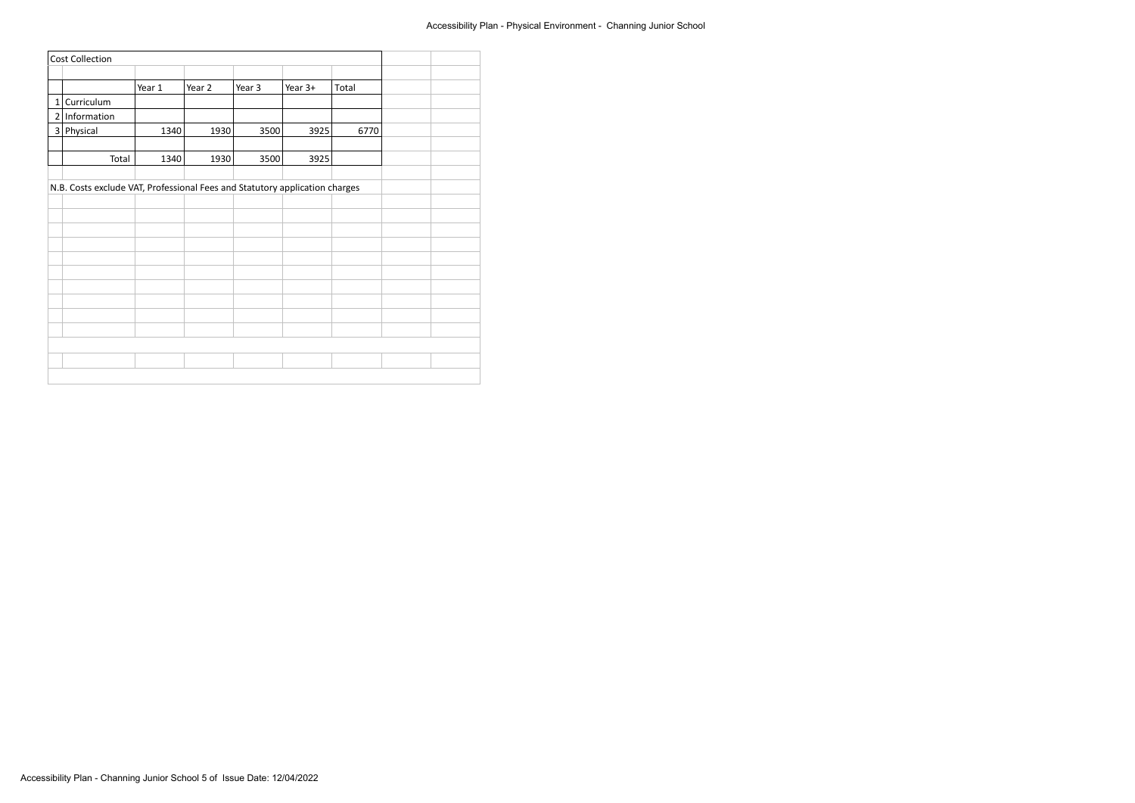|                | <b>Cost Collection</b>                                                      |        |        |        |         |       |  |
|----------------|-----------------------------------------------------------------------------|--------|--------|--------|---------|-------|--|
|                |                                                                             |        |        |        |         |       |  |
|                |                                                                             | Year 1 | Year 2 | Year 3 | Year 3+ | Total |  |
| $1\vert$       | Curriculum                                                                  |        |        |        |         |       |  |
|                | $2$ Information                                                             |        |        |        |         |       |  |
| $\overline{3}$ | Physical                                                                    | 1340   | 1930   | 3500   | 3925    | 6770  |  |
|                |                                                                             |        |        |        |         |       |  |
|                | Total                                                                       | 1340   | 1930   | 3500   | 3925    |       |  |
|                |                                                                             |        |        |        |         |       |  |
|                | N.B. Costs exclude VAT, Professional Fees and Statutory application charges |        |        |        |         |       |  |
|                |                                                                             |        |        |        |         |       |  |
|                |                                                                             |        |        |        |         |       |  |
|                |                                                                             |        |        |        |         |       |  |
|                |                                                                             |        |        |        |         |       |  |
|                |                                                                             |        |        |        |         |       |  |
|                |                                                                             |        |        |        |         |       |  |
|                |                                                                             |        |        |        |         |       |  |
|                |                                                                             |        |        |        |         |       |  |
|                |                                                                             |        |        |        |         |       |  |
|                |                                                                             |        |        |        |         |       |  |
|                |                                                                             |        |        |        |         |       |  |
|                |                                                                             |        |        |        |         |       |  |
|                |                                                                             |        |        |        |         |       |  |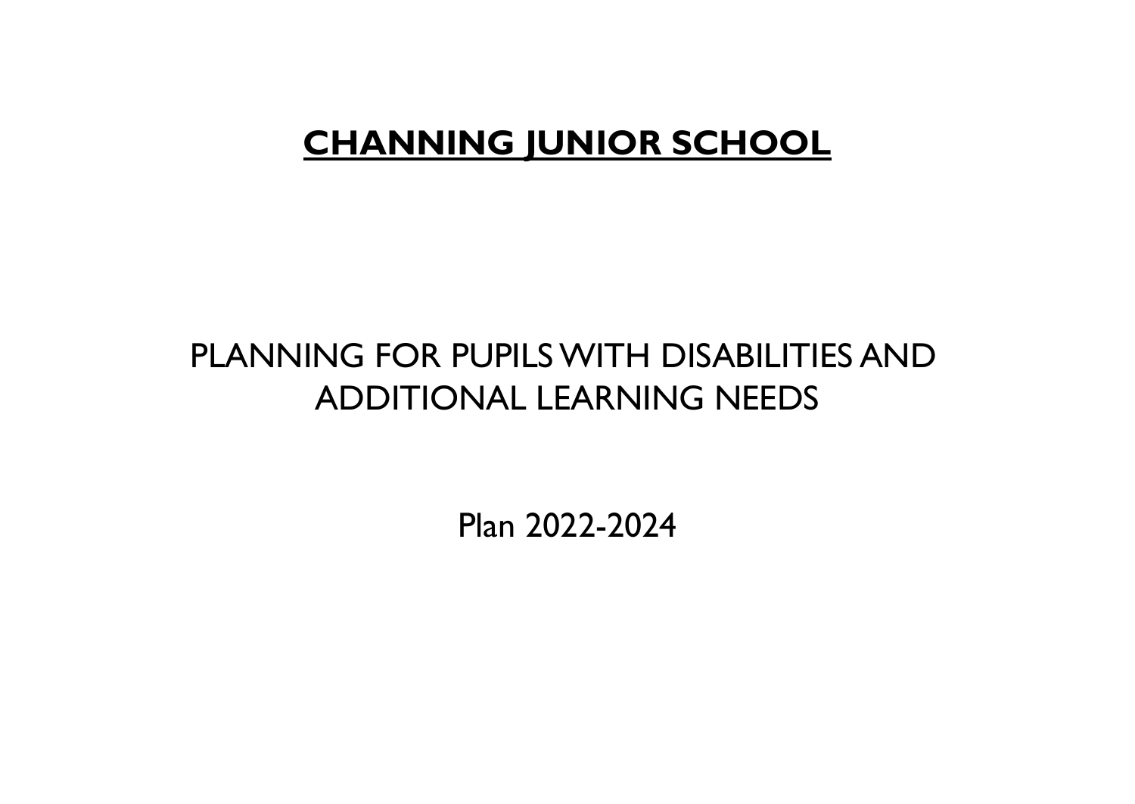## **CHANNING JUNIOR SCHOOL**

## PLANNING FOR PUPILSWITH DISABILITIES AND ADDITIONAL LEARNING NEEDS

Plan 2022-2024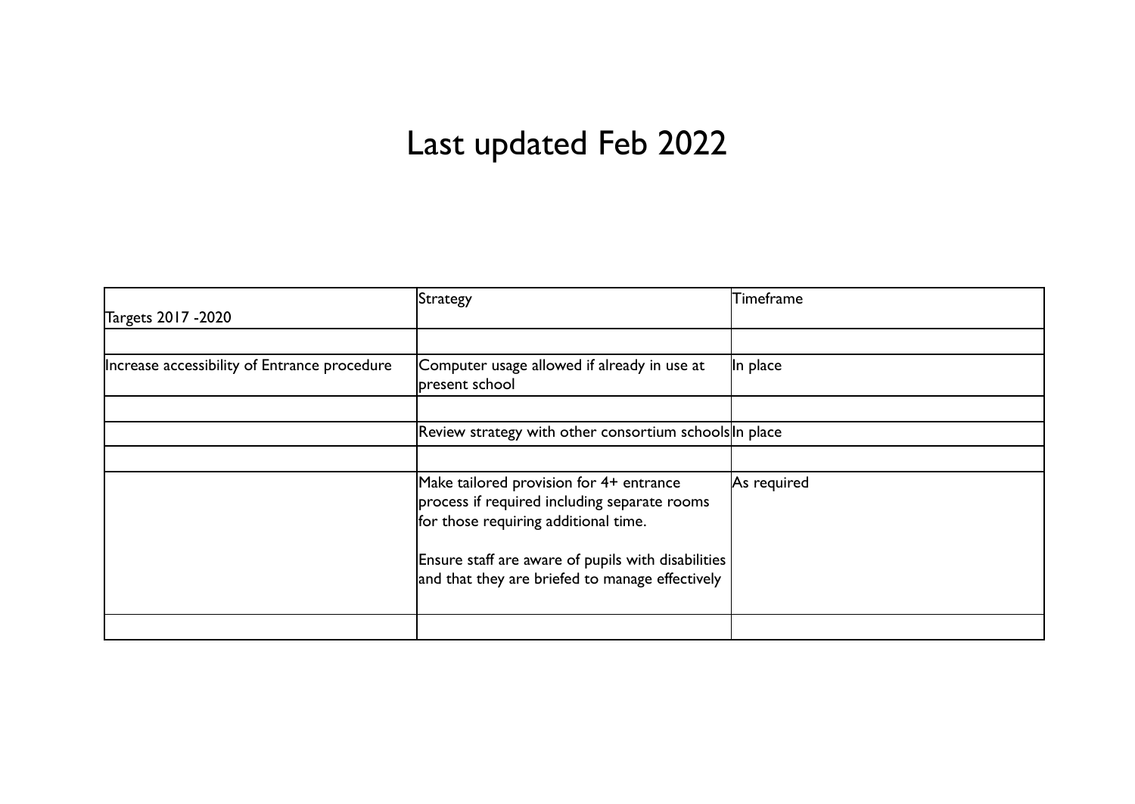## Last updated Feb 2022

|                                              | Strategy                                                                                                                        | <b>Timeframe</b> |
|----------------------------------------------|---------------------------------------------------------------------------------------------------------------------------------|------------------|
| Targets 2017 - 2020                          |                                                                                                                                 |                  |
|                                              |                                                                                                                                 |                  |
| Increase accessibility of Entrance procedure | Computer usage allowed if already in use at<br>present school                                                                   | In place         |
|                                              |                                                                                                                                 |                  |
|                                              | Review strategy with other consortium schools In place                                                                          |                  |
|                                              |                                                                                                                                 |                  |
|                                              | Make tailored provision for 4+ entrance<br>process if required including separate rooms<br>for those requiring additional time. | As required      |
|                                              | Ensure staff are aware of pupils with disabilities<br>and that they are briefed to manage effectively                           |                  |
|                                              |                                                                                                                                 |                  |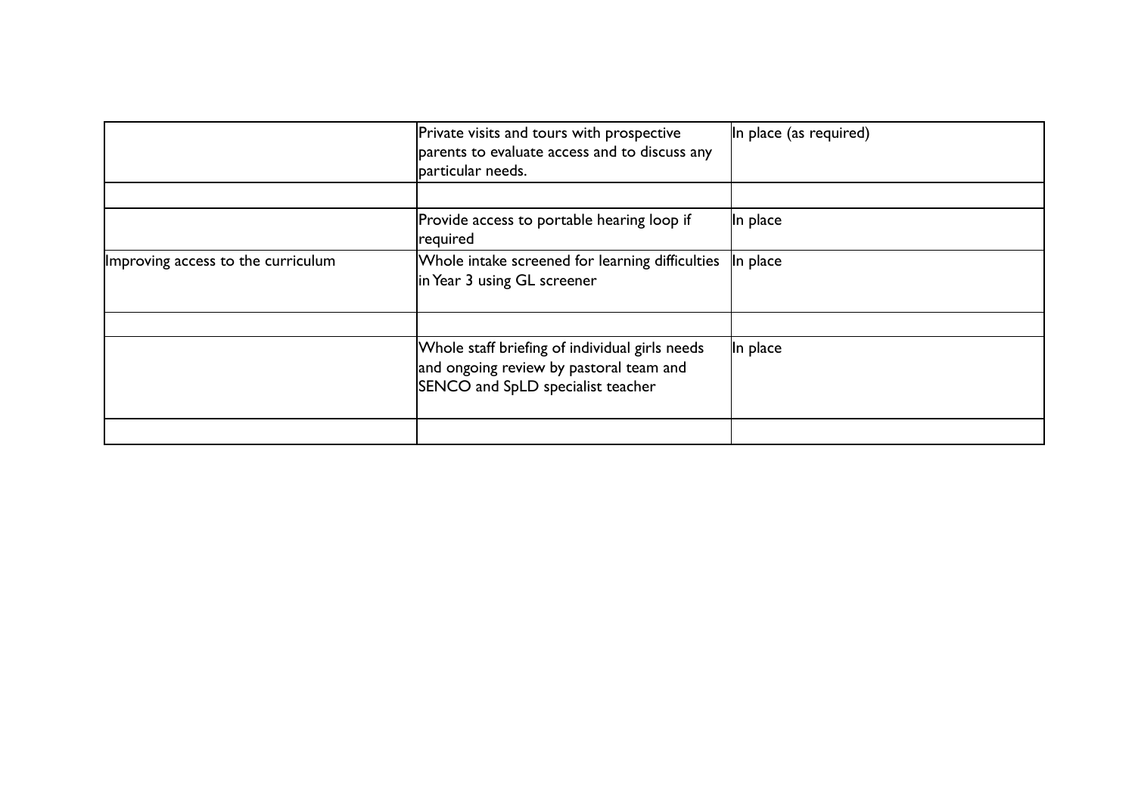|                                    | Private visits and tours with prospective<br>parents to evaluate access and to discuss any<br>particular needs.                | In place (as required) |
|------------------------------------|--------------------------------------------------------------------------------------------------------------------------------|------------------------|
|                                    | Provide access to portable hearing loop if<br>required                                                                         | In place               |
| Improving access to the curriculum | Whole intake screened for learning difficulties<br>in Year 3 using GL screener                                                 | In place               |
|                                    | Whole staff briefing of individual girls needs<br>and ongoing review by pastoral team and<br>SENCO and SpLD specialist teacher | In place               |
|                                    |                                                                                                                                |                        |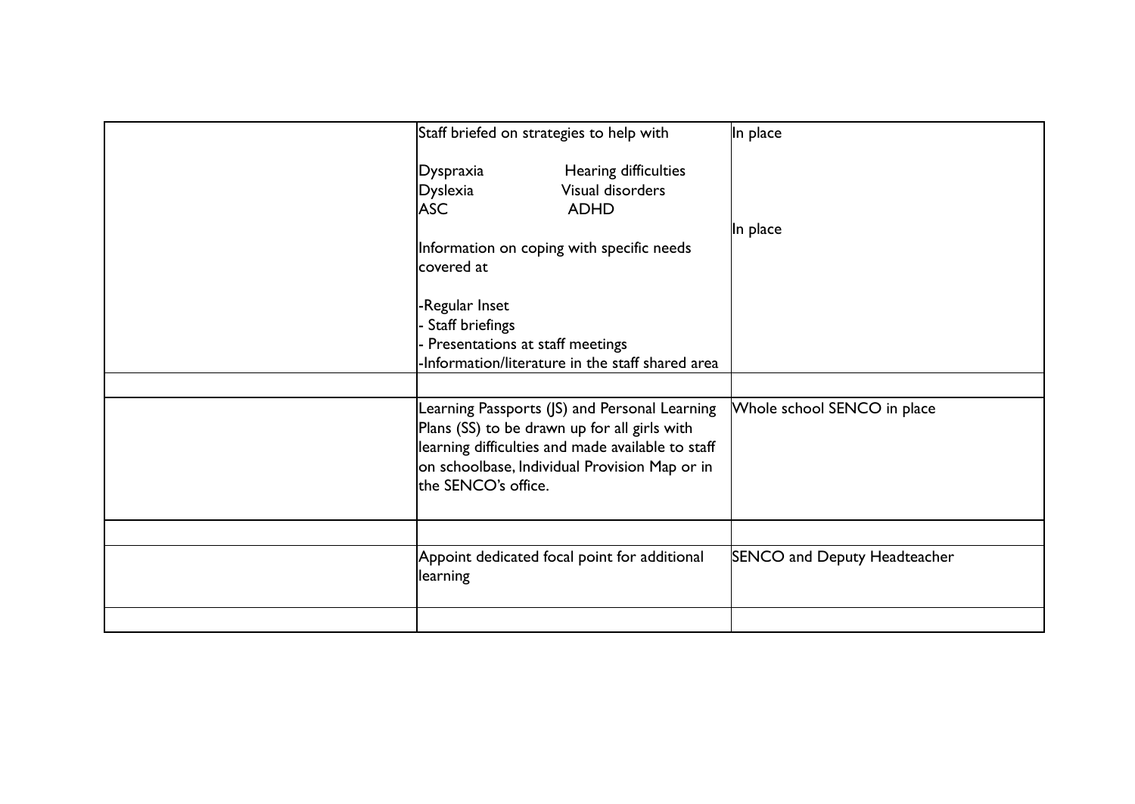| Staff briefed on strategies to help with                                                                                                                                                                                   | In place                            |
|----------------------------------------------------------------------------------------------------------------------------------------------------------------------------------------------------------------------------|-------------------------------------|
| Hearing difficulties<br>Dyspraxia<br>Visual disorders<br>Dyslexia<br><b>ASC</b><br><b>ADHD</b>                                                                                                                             |                                     |
| Information on coping with specific needs<br>covered at                                                                                                                                                                    | In place                            |
| -Regular Inset<br>Staff briefings<br>Presentations at staff meetings<br>Information/literature in the staff shared area                                                                                                    |                                     |
| Learning Passports (JS) and Personal Learning<br>Plans (SS) to be drawn up for all girls with<br>learning difficulties and made available to staff<br>on schoolbase, Individual Provision Map or in<br>the SENCO's office. | Whole school SENCO in place         |
| Appoint dedicated focal point for additional<br>learning                                                                                                                                                                   | <b>SENCO and Deputy Headteacher</b> |
|                                                                                                                                                                                                                            |                                     |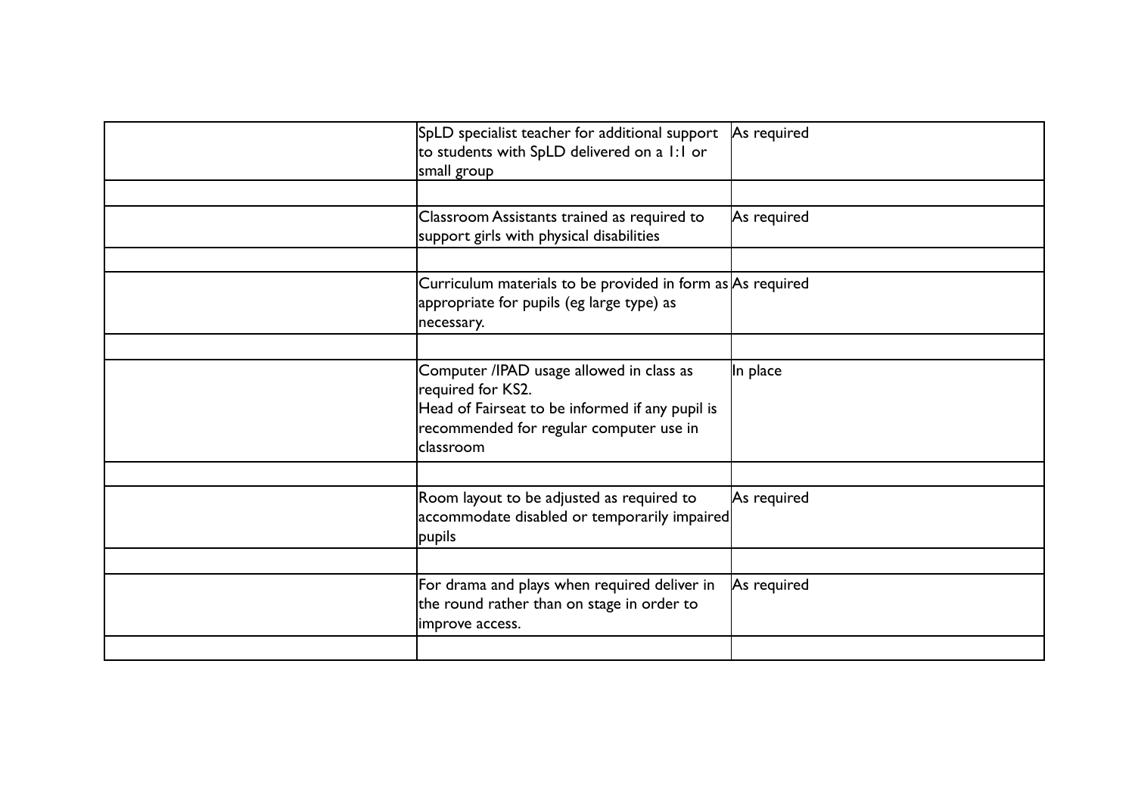| SpLD specialist teacher for additional support<br>to students with SpLD delivered on a 1:1 or<br>small group                                                             | As required |
|--------------------------------------------------------------------------------------------------------------------------------------------------------------------------|-------------|
| Classroom Assistants trained as required to<br>support girls with physical disabilities                                                                                  | As required |
| Curriculum materials to be provided in form as $As$ required<br>appropriate for pupils (eg large type) as<br>necessary.                                                  |             |
| Computer /IPAD usage allowed in class as<br>required for KS2.<br>Head of Fairseat to be informed if any pupil is<br>recommended for regular computer use in<br>classroom | In place    |
| Room layout to be adjusted as required to<br>accommodate disabled or temporarily impaired<br>pupils                                                                      | As required |
| For drama and plays when required deliver in<br>the round rather than on stage in order to<br>improve access.                                                            | As required |
|                                                                                                                                                                          |             |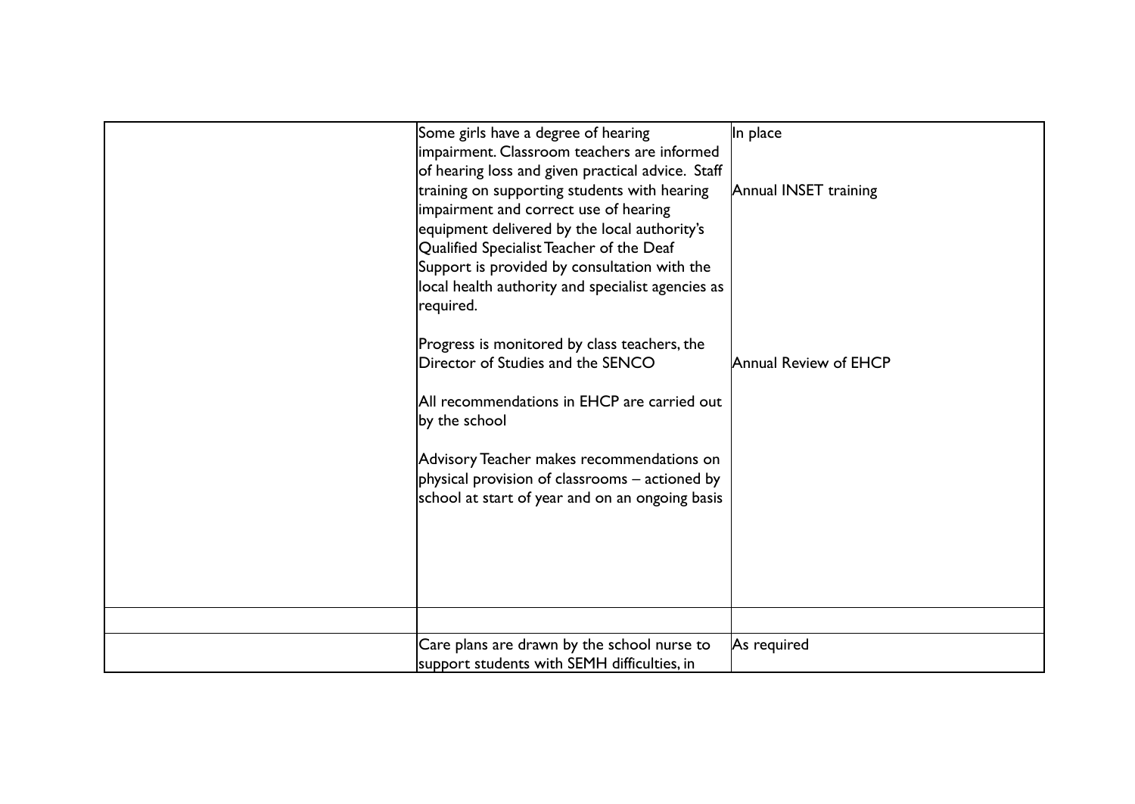| Some girls have a degree of hearing<br>impairment. Classroom teachers are informed<br>of hearing loss and given practical advice. Staff<br>training on supporting students with hearing<br>impairment and correct use of hearing<br>equipment delivered by the local authority's<br>Qualified Specialist Teacher of the Deaf<br>Support is provided by consultation with the<br>local health authority and specialist agencies as<br>required. | In place<br>Annual INSET training |
|------------------------------------------------------------------------------------------------------------------------------------------------------------------------------------------------------------------------------------------------------------------------------------------------------------------------------------------------------------------------------------------------------------------------------------------------|-----------------------------------|
| Progress is monitored by class teachers, the<br>Director of Studies and the SENCO<br>All recommendations in EHCP are carried out<br>by the school<br>Advisory Teacher makes recommendations on<br>physical provision of classrooms – actioned by<br>school at start of year and on an ongoing basis                                                                                                                                            | Annual Review of EHCP             |
|                                                                                                                                                                                                                                                                                                                                                                                                                                                |                                   |
|                                                                                                                                                                                                                                                                                                                                                                                                                                                |                                   |
| Care plans are drawn by the school nurse to<br>support students with SEMH difficulties, in                                                                                                                                                                                                                                                                                                                                                     | As required                       |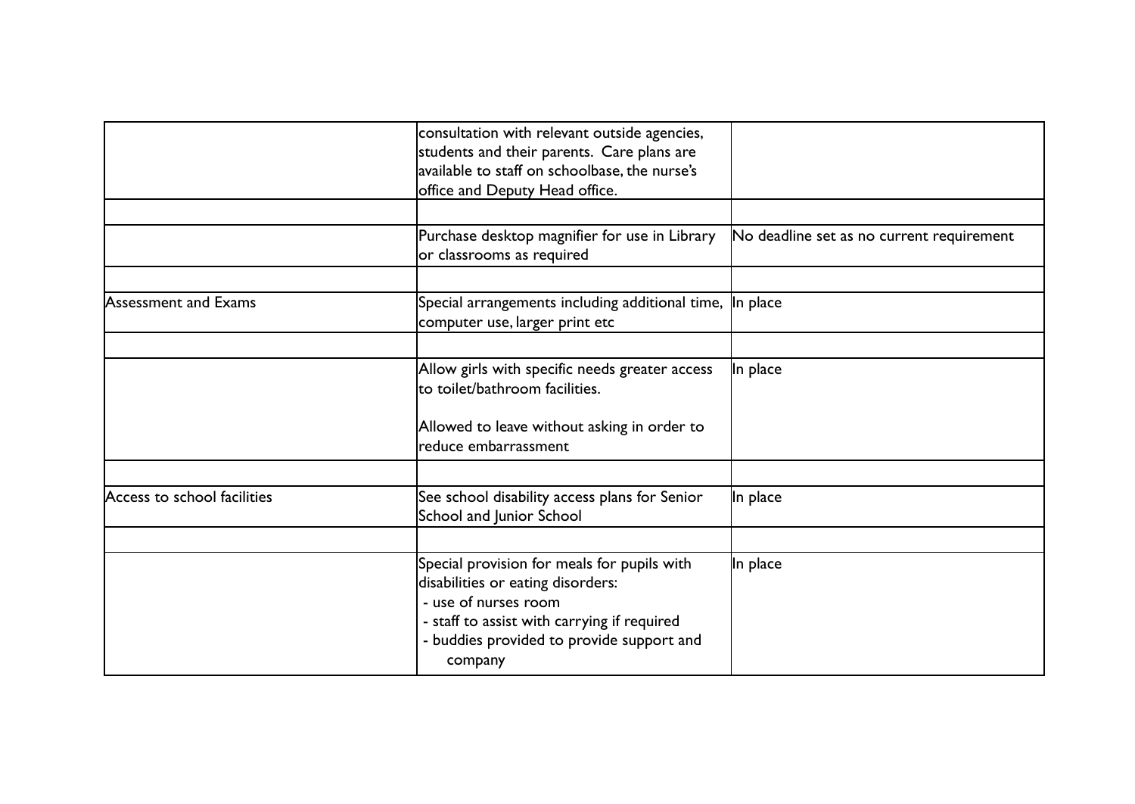|                             | consultation with relevant outside agencies,<br>students and their parents. Care plans are<br>available to staff on schoolbase, the nurse's<br>office and Deputy Head office.                                   |                                           |
|-----------------------------|-----------------------------------------------------------------------------------------------------------------------------------------------------------------------------------------------------------------|-------------------------------------------|
|                             |                                                                                                                                                                                                                 |                                           |
|                             | Purchase desktop magnifier for use in Library<br>or classrooms as required                                                                                                                                      | No deadline set as no current requirement |
|                             |                                                                                                                                                                                                                 |                                           |
| Assessment and Exams        | Special arrangements including additional time, In place<br>computer use, larger print etc                                                                                                                      |                                           |
|                             |                                                                                                                                                                                                                 |                                           |
|                             | Allow girls with specific needs greater access<br>lto toilet/bathroom facilities.                                                                                                                               | In place                                  |
|                             | Allowed to leave without asking in order to<br>lreduce embarrassment                                                                                                                                            |                                           |
|                             |                                                                                                                                                                                                                 |                                           |
| Access to school facilities | See school disability access plans for Senior<br>School and Junior School                                                                                                                                       | In place                                  |
|                             |                                                                                                                                                                                                                 |                                           |
|                             | Special provision for meals for pupils with<br>disabilities or eating disorders:<br>- use of nurses room<br>- staff to assist with carrying if required<br>- buddies provided to provide support and<br>company | In place                                  |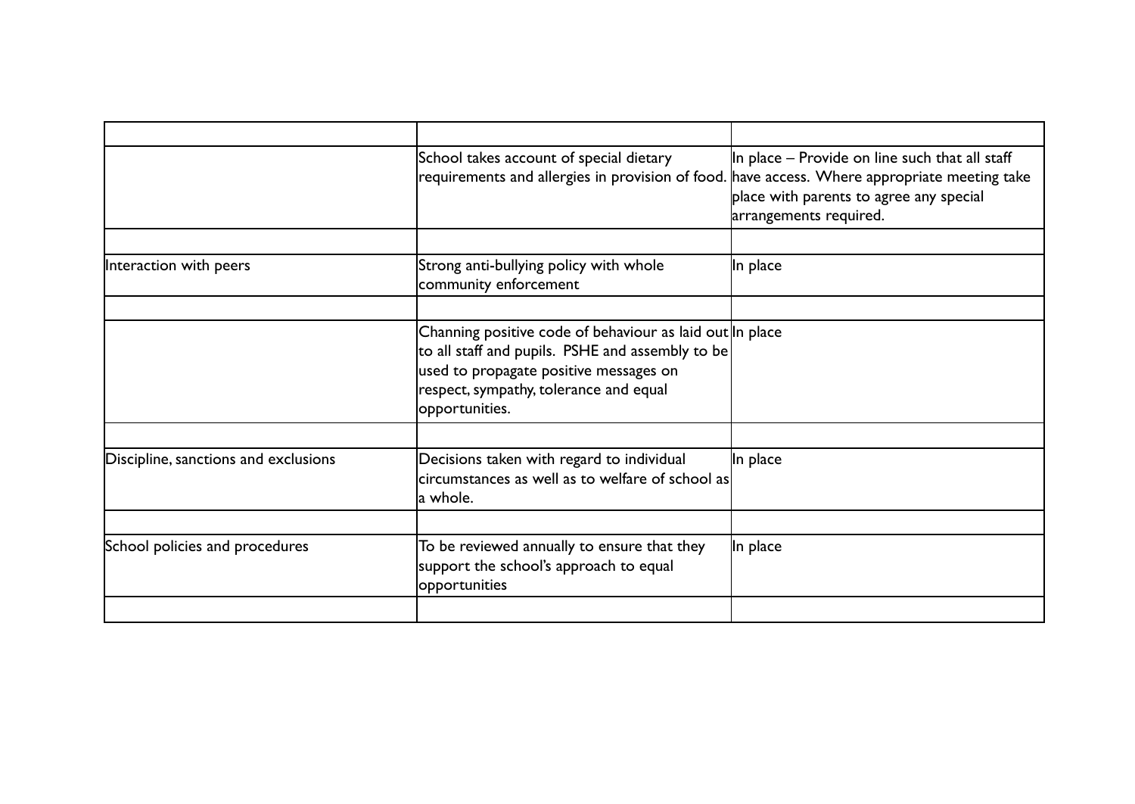|                                      | School takes account of special dietary<br>requirements and allergies in provision of food. have access. Where appropriate meeting take                                                                            | In place – Provide on line such that all staff<br>place with parents to agree any special<br>arrangements required. |
|--------------------------------------|--------------------------------------------------------------------------------------------------------------------------------------------------------------------------------------------------------------------|---------------------------------------------------------------------------------------------------------------------|
| Interaction with peers               | Strong anti-bullying policy with whole<br>community enforcement                                                                                                                                                    | In place                                                                                                            |
|                                      | Channing positive code of behaviour as laid out In place<br>to all staff and pupils. PSHE and assembly to be<br>used to propagate positive messages on<br>respect, sympathy, tolerance and equal<br>opportunities. |                                                                                                                     |
| Discipline, sanctions and exclusions | Decisions taken with regard to individual<br>$ circumstances$ as well as to welfare of school as $ $<br>la whole.                                                                                                  | In place                                                                                                            |
| School policies and procedures       | To be reviewed annually to ensure that they<br>support the school's approach to equal<br>opportunities                                                                                                             | In place                                                                                                            |
|                                      |                                                                                                                                                                                                                    |                                                                                                                     |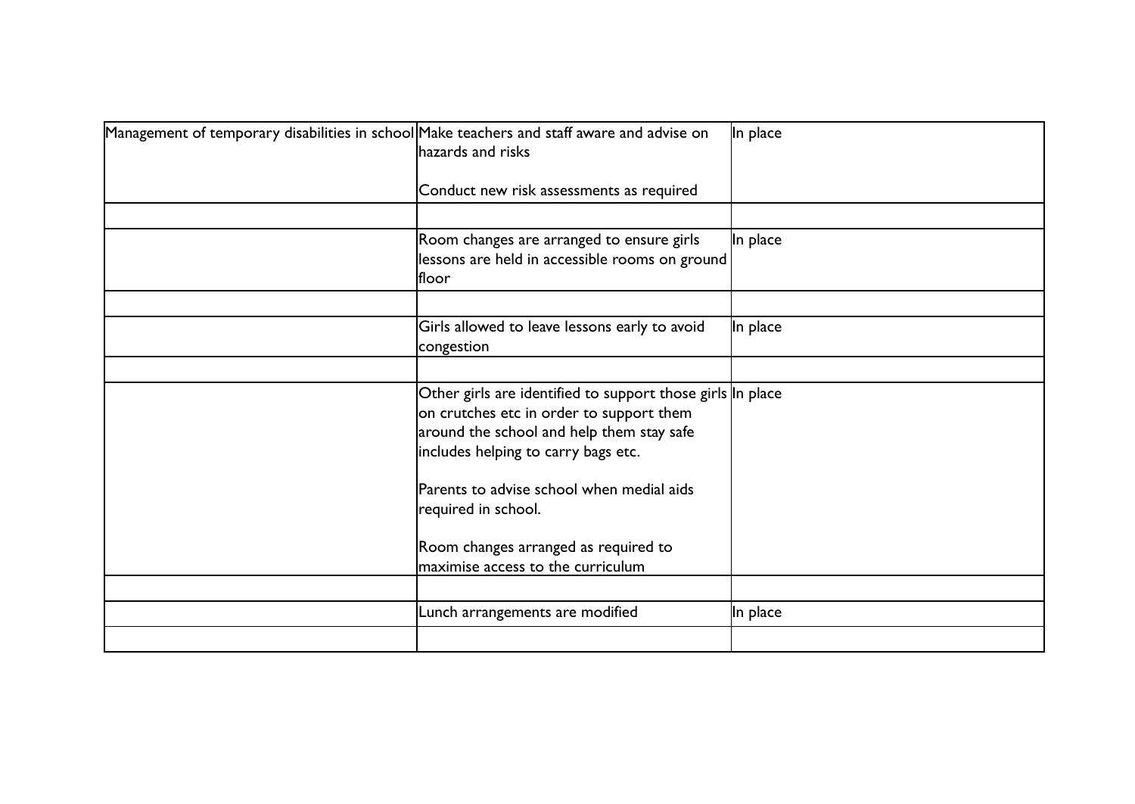| Management of temporary disabilities in school Make teachers and staff aware and advise on | hazards and risks<br>Conduct new risk assessments as required                                                                                                                              | In place |
|--------------------------------------------------------------------------------------------|--------------------------------------------------------------------------------------------------------------------------------------------------------------------------------------------|----------|
|                                                                                            | Room changes are arranged to ensure girls<br>lessons are held in accessible rooms on ground<br>lfloor                                                                                      | In place |
|                                                                                            | Girls allowed to leave lessons early to avoid<br>congestion                                                                                                                                | In place |
|                                                                                            | Other girls are identified to support those girls In place<br>on crutches etc in order to support them<br>around the school and help them stay safe<br>includes helping to carry bags etc. |          |
|                                                                                            | Parents to advise school when medial aids<br>required in school.<br>Room changes arranged as required to<br>maximise access to the curriculum                                              |          |
|                                                                                            | Lunch arrangements are modified                                                                                                                                                            | In place |
|                                                                                            |                                                                                                                                                                                            |          |